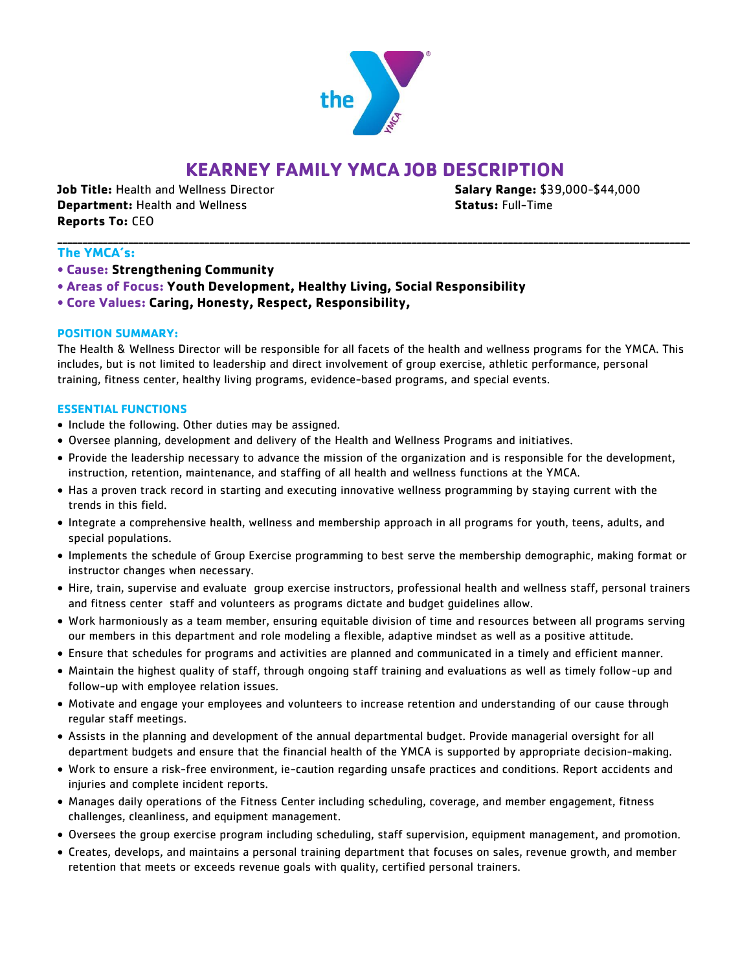

# **KEARNEY FAMILY YMCA JOB DESCRIPTION**

**\_\_\_\_\_\_\_\_\_\_\_\_\_\_\_\_\_\_\_\_\_\_\_\_\_\_\_\_\_\_\_\_\_\_\_\_\_\_\_\_\_\_\_\_\_\_\_\_\_\_\_\_\_\_\_\_\_\_\_\_\_\_\_\_\_\_\_\_\_\_\_\_\_\_\_\_\_\_\_\_\_\_\_\_\_\_\_\_\_\_\_\_\_\_\_\_\_\_\_\_\_\_\_\_\_\_\_\_\_\_\_\_\_\_\_\_\_\_\_\_\_\_\_\_\_**

**Job Title:** Health and Wellness Director **Salary Range:** \$39,000-\$44,000 **Department:** Health and Wellness **Status:** Full-Time **Reports To:** CEO

# **The YMCA's:**

- **Cause: Strengthening Community**
- **Areas of Focus: Youth Development, Healthy Living, Social Responsibility**
- **Core Values: Caring, Honesty, Respect, Responsibility,**

## **POSITION SUMMARY:**

The Health & Wellness Director will be responsible for all facets of the health and wellness programs for the YMCA. This includes, but is not limited to leadership and direct involvement of group exercise, athletic performance, personal training, fitness center, healthy living programs, evidence-based programs, and special events.

#### **ESSENTIAL FUNCTIONS**

- Include the following. Other duties may be assigned.
- Oversee planning, development and delivery of the Health and Wellness Programs and initiatives.
- Provide the leadership necessary to advance the mission of the organization and is responsible for the development, instruction, retention, maintenance, and staffing of all health and wellness functions at the YMCA.
- Has a proven track record in starting and executing innovative wellness programming by staying current with the trends in this field.
- Integrate a comprehensive health, wellness and membership approach in all programs for youth, teens, adults, and special populations.
- Implements the schedule of Group Exercise programming to best serve the membership demographic, making format or instructor changes when necessary.
- Hire, train, supervise and evaluate group exercise instructors, professional health and wellness staff, personal trainers and fitness center staff and volunteers as programs dictate and budget guidelines allow.
- Work harmoniously as a team member, ensuring equitable division of time and resources between all programs serving our members in this department and role modeling a flexible, adaptive mindset as well as a positive attitude.
- Ensure that schedules for programs and activities are planned and communicated in a timely and efficient manner.
- Maintain the highest quality of staff, through ongoing staff training and evaluations as well as timely follow-up and follow-up with employee relation issues.
- Motivate and engage your employees and volunteers to increase retention and understanding of our cause through regular staff meetings.
- Assists in the planning and development of the annual departmental budget. Provide managerial oversight for all department budgets and ensure that the financial health of the YMCA is supported by appropriate decision-making.
- Work to ensure a risk-free environment, ie-caution regarding unsafe practices and conditions. Report accidents and injuries and complete incident reports.
- Manages daily operations of the Fitness Center including scheduling, coverage, and member engagement, fitness challenges, cleanliness, and equipment management.
- Oversees the group exercise program including scheduling, staff supervision, equipment management, and promotion.
- Creates, develops, and maintains a personal training department that focuses on sales, revenue growth, and member retention that meets or exceeds revenue goals with quality, certified personal trainers.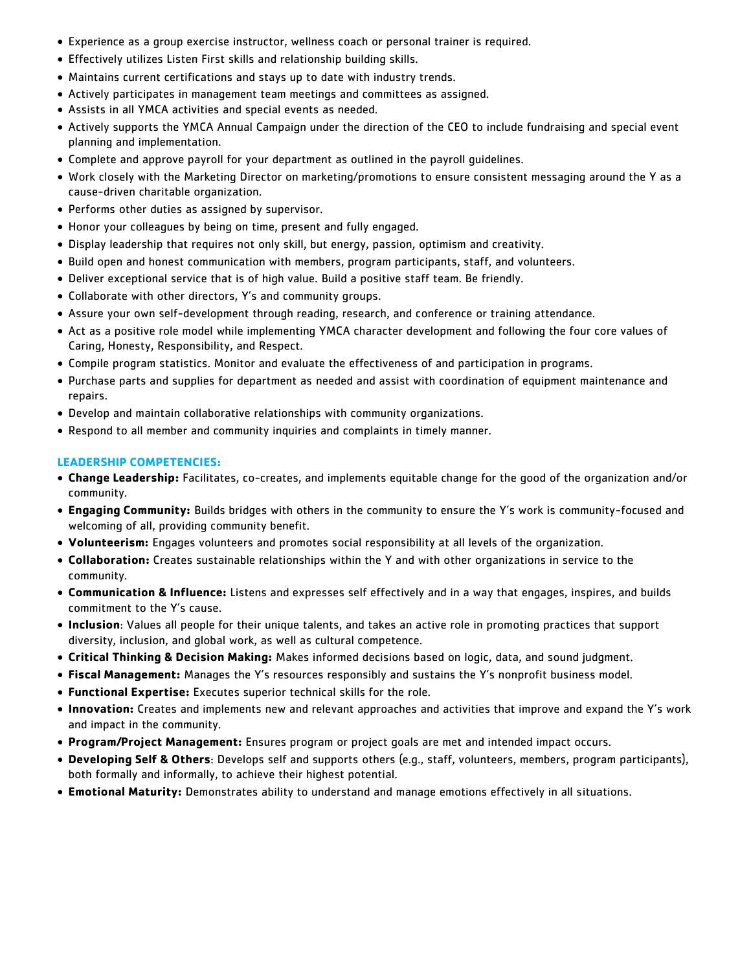- Experience as a group exercise instructor, wellness coach or personal trainer is required.
- Effectively utilizes Listen First skills and relationship building skills.
- Maintains current certifications and stays up to date with industry trends.
- Actively participates in management team meetings and committees as assigned.
- Assists in all YMCA activities and special events as needed.
- Actively supports the YMCA Annual Campaign under the direction of the CEO to include fundraising and special event planning and implementation.
- Complete and approve payroll for your department as outlined in the payroll guidelines.
- Work closely with the Marketing Director on marketing/promotions to ensure consistent messaging around the Y as a cause-driven charitable organization.
- Performs other duties as assigned by supervisor.
- Honor your colleagues by being on time, present and fully engaged.
- Display leadership that requires not only skill, but energy, passion, optimism and creativity.
- Build open and honest communication with members, program participants, staff, and volunteers.
- Deliver exceptional service that is of high value. Build a positive staff team. Be friendly.
- Collaborate with other directors, Y's and community groups.
- Assure your own self-development through reading, research, and conference or training attendance.
- Act as a positive role model while implementing YMCA character development and following the four core values of Caring, Honesty, Responsibility, and Respect.
- Compile program statistics. Monitor and evaluate the effectiveness of and participation in programs.
- Purchase parts and supplies for department as needed and assist with coordination of equipment maintenance and repairs.
- Develop and maintain collaborative relationships with community organizations.
- Respond to all member and community inquiries and complaints in timely manner.

#### **LEADERSHIP COMPETENCIES:**

- **Change Leadership:** Facilitates, co-creates, and implements equitable change for the good of the organization and/or community.
- **Engaging Community:** Builds bridges with others in the community to ensure the Y's work is community-focused and welcoming of all, providing community benefit.
- **Volunteerism:** Engages volunteers and promotes social responsibility at all levels of the organization.
- **Collaboration:** Creates sustainable relationships within the Y and with other organizations in service to the community.
- **Communication & Influence:** Listens and expresses self effectively and in a way that engages, inspires, and builds commitment to the Y's cause.
- **Inclusion**: Values all people for their unique talents, and takes an active role in promoting practices that support diversity, inclusion, and global work, as well as cultural competence.
- **Critical Thinking & Decision Making:** Makes informed decisions based on logic, data, and sound judgment.
- **Fiscal Management:** Manages the Y's resources responsibly and sustains the Y's nonprofit business model.
- **Functional Expertise:** Executes superior technical skills for the role.
- **Innovation:** Creates and implements new and relevant approaches and activities that improve and expand the Y's work and impact in the community.
- **Program/Project Management:** Ensures program or project goals are met and intended impact occurs.
- **Developing Self & Others**: Develops self and supports others (e.g., staff, volunteers, members, program participants), both formally and informally, to achieve their highest potential.
- **Emotional Maturity:** Demonstrates ability to understand and manage emotions effectively in all situations.